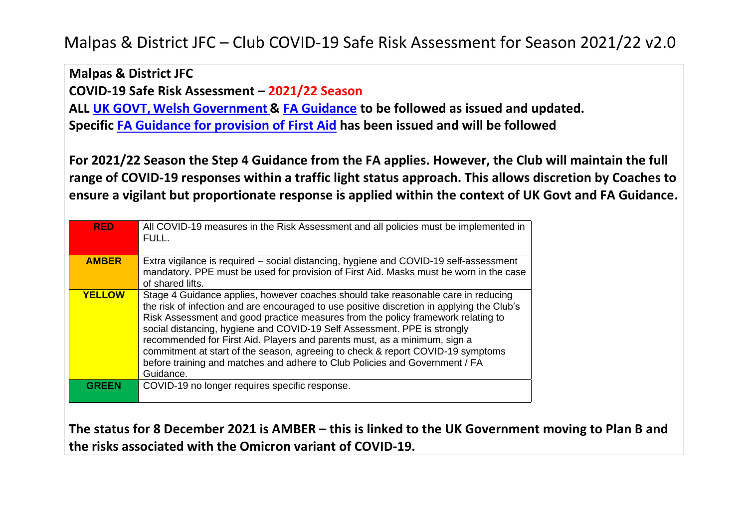**Malpas & District JFC** 

**COVID-19 Safe Risk Assessment – 2021/22 Season** 

**ALL [UK GOVT,](https://www.gov.uk/coronavirus?sc_src=email_472468&sc_lid=28702760&sc_uid=SyxCKMuhXW&sc_llid=369601) Welsh [Government](https://gov.wales/coronavirus) & [FA Guidance](https://www.thefa.com/news/2021/mar/24/fa-guidance-for-return-to-grassroots-football-20210324) to be followed as issued and updated.** 

**Specific [FA Guidance for provision of First Aid](https://www.thefa.com/news/2021/mar/24/fa-guidance-for-return-to-grassroots-football-20210324) has been issued and will be followed** 

**For 2021/22 Season the Step 4 Guidance from the FA applies. However, the Club will maintain the full range of COVID-19 responses within a traffic light status approach. This allows discretion by Coaches to ensure a vigilant but proportionate response is applied within the context of UK Govt and FA Guidance.**

| <b>RED</b>    | All COVID-19 measures in the Risk Assessment and all policies must be implemented in<br>FULL.                                                                                                                                                                                                                                                                                                                                                                                                                                                                                                               |
|---------------|-------------------------------------------------------------------------------------------------------------------------------------------------------------------------------------------------------------------------------------------------------------------------------------------------------------------------------------------------------------------------------------------------------------------------------------------------------------------------------------------------------------------------------------------------------------------------------------------------------------|
| <b>AMBER</b>  | Extra vigilance is required – social distancing, hygiene and COVID-19 self-assessment<br>mandatory. PPE must be used for provision of First Aid. Masks must be worn in the case<br>of shared lifts.                                                                                                                                                                                                                                                                                                                                                                                                         |
| <b>YELLOW</b> | Stage 4 Guidance applies, however coaches should take reasonable care in reducing<br>the risk of infection and are encouraged to use positive discretion in applying the Club's<br>Risk Assessment and good practice measures from the policy framework relating to<br>social distancing, hygiene and COVID-19 Self Assessment. PPE is strongly<br>recommended for First Aid. Players and parents must, as a minimum, sign a<br>commitment at start of the season, agreeing to check & report COVID-19 symptoms<br>before training and matches and adhere to Club Policies and Government / FA<br>Guidance. |
| GREEN         | COVID-19 no longer requires specific response.                                                                                                                                                                                                                                                                                                                                                                                                                                                                                                                                                              |

**The status for 8 December 2021 is AMBER – this is linked to the UK Government moving to Plan B and the risks associated with the Omicron variant of COVID-19.**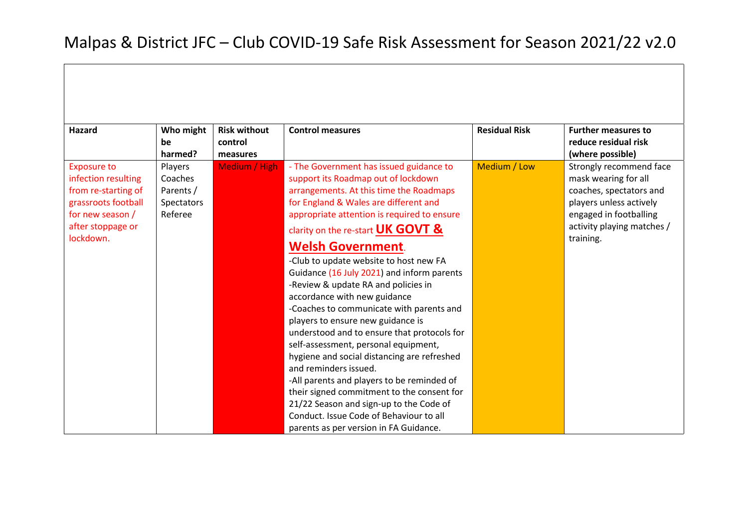| Hazard                         | Who might  | <b>Risk without</b> | <b>Control measures</b>                     | <b>Residual Risk</b> | <b>Further measures to</b>              |
|--------------------------------|------------|---------------------|---------------------------------------------|----------------------|-----------------------------------------|
|                                | be         | control             |                                             |                      | reduce residual risk                    |
|                                | harmed?    | measures            |                                             |                      | (where possible)                        |
| <b>Exposure to</b>             | Players    | Medium / High       | - The Government has issued guidance to     | Medium / Low         | Strongly recommend face                 |
| infection resulting            | Coaches    |                     | support its Roadmap out of lockdown         |                      | mask wearing for all                    |
| from re-starting of            | Parents /  |                     | arrangements. At this time the Roadmaps     |                      | coaches, spectators and                 |
| grassroots football            | Spectators |                     | for England & Wales are different and       |                      | players unless actively                 |
| for new season /               | Referee    |                     | appropriate attention is required to ensure |                      | engaged in footballing                  |
| after stoppage or<br>lockdown. |            |                     | clarity on the re-start UK GOVT &           |                      | activity playing matches /<br>training. |
|                                |            |                     | <b>Welsh Government.</b>                    |                      |                                         |
|                                |            |                     | -Club to update website to host new FA      |                      |                                         |
|                                |            |                     | Guidance (16 July 2021) and inform parents  |                      |                                         |
|                                |            |                     | -Review & update RA and policies in         |                      |                                         |
|                                |            |                     | accordance with new guidance                |                      |                                         |
|                                |            |                     | -Coaches to communicate with parents and    |                      |                                         |
|                                |            |                     | players to ensure new guidance is           |                      |                                         |
|                                |            |                     | understood and to ensure that protocols for |                      |                                         |
|                                |            |                     | self-assessment, personal equipment,        |                      |                                         |
|                                |            |                     | hygiene and social distancing are refreshed |                      |                                         |
|                                |            |                     | and reminders issued.                       |                      |                                         |
|                                |            |                     | -All parents and players to be reminded of  |                      |                                         |
|                                |            |                     | their signed commitment to the consent for  |                      |                                         |
|                                |            |                     | 21/22 Season and sign-up to the Code of     |                      |                                         |
|                                |            |                     | Conduct, Issue Code of Behaviour to all     |                      |                                         |
|                                |            |                     | parents as per version in FA Guidance.      |                      |                                         |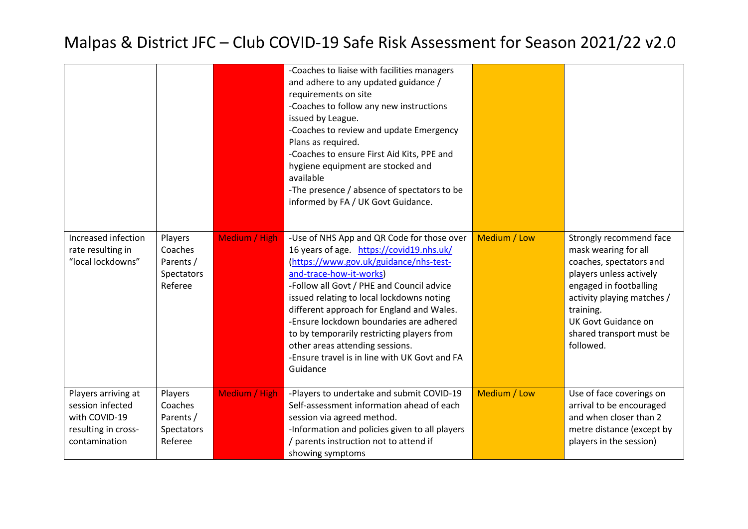|                                                                                                  |                                                          |               | -Coaches to liaise with facilities managers<br>and adhere to any updated guidance /<br>requirements on site<br>-Coaches to follow any new instructions<br>issued by League.<br>-Coaches to review and update Emergency<br>Plans as required.<br>-Coaches to ensure First Aid Kits, PPE and<br>hygiene equipment are stocked and<br>available<br>-The presence / absence of spectators to be<br>informed by FA / UK Govt Guidance.                                                           |              |                                                                                                                                                                                                                                                   |
|--------------------------------------------------------------------------------------------------|----------------------------------------------------------|---------------|---------------------------------------------------------------------------------------------------------------------------------------------------------------------------------------------------------------------------------------------------------------------------------------------------------------------------------------------------------------------------------------------------------------------------------------------------------------------------------------------|--------------|---------------------------------------------------------------------------------------------------------------------------------------------------------------------------------------------------------------------------------------------------|
| Increased infection<br>rate resulting in<br>"local lockdowns"                                    | Players<br>Coaches<br>Parents /<br>Spectators<br>Referee | Medium / High | -Use of NHS App and QR Code for those over<br>16 years of age. https://covid19.nhs.uk/<br>(https://www.gov.uk/guidance/nhs-test-<br>and-trace-how-it-works)<br>-Follow all Govt / PHE and Council advice<br>issued relating to local lockdowns noting<br>different approach for England and Wales.<br>-Ensure lockdown boundaries are adhered<br>to by temporarily restricting players from<br>other areas attending sessions.<br>-Ensure travel is in line with UK Govt and FA<br>Guidance | Medium / Low | Strongly recommend face<br>mask wearing for all<br>coaches, spectators and<br>players unless actively<br>engaged in footballing<br>activity playing matches /<br>training.<br><b>UK Govt Guidance on</b><br>shared transport must be<br>followed. |
| Players arriving at<br>session infected<br>with COVID-19<br>resulting in cross-<br>contamination | Players<br>Coaches<br>Parents /<br>Spectators<br>Referee | Medium / High | -Players to undertake and submit COVID-19<br>Self-assessment information ahead of each<br>session via agreed method.<br>-Information and policies given to all players<br>/ parents instruction not to attend if<br>showing symptoms                                                                                                                                                                                                                                                        | Medium / Low | Use of face coverings on<br>arrival to be encouraged<br>and when closer than 2<br>metre distance (except by<br>players in the session)                                                                                                            |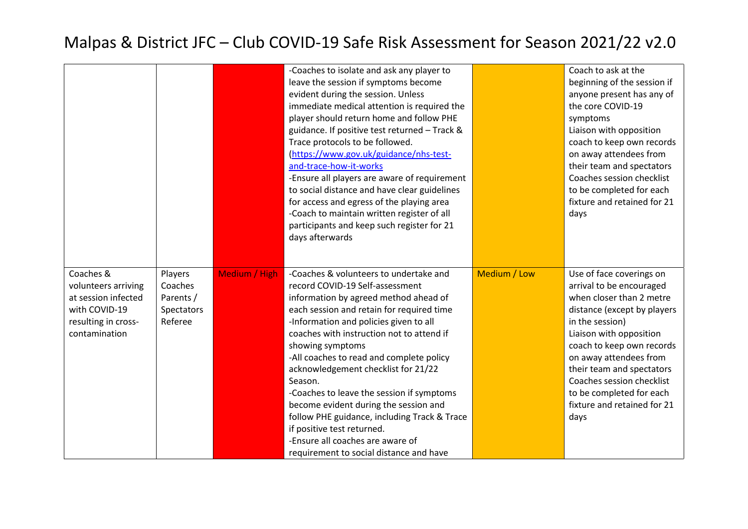|                                                                                                                  |                                                          |               | -Coaches to isolate and ask any player to<br>leave the session if symptoms become<br>evident during the session. Unless<br>immediate medical attention is required the<br>player should return home and follow PHE<br>guidance. If positive test returned - Track &<br>Trace protocols to be followed.<br>(https://www.gov.uk/guidance/nhs-test-<br>and-trace-how-it-works<br>-Ensure all players are aware of requirement<br>to social distance and have clear guidelines<br>for access and egress of the playing area<br>-Coach to maintain written register of all<br>participants and keep such register for 21<br>days afterwards |              | Coach to ask at the<br>beginning of the session if<br>anyone present has any of<br>the core COVID-19<br>symptoms<br>Liaison with opposition<br>coach to keep own records<br>on away attendees from<br>their team and spectators<br>Coaches session checklist<br>to be completed for each<br>fixture and retained for 21<br>days                   |
|------------------------------------------------------------------------------------------------------------------|----------------------------------------------------------|---------------|----------------------------------------------------------------------------------------------------------------------------------------------------------------------------------------------------------------------------------------------------------------------------------------------------------------------------------------------------------------------------------------------------------------------------------------------------------------------------------------------------------------------------------------------------------------------------------------------------------------------------------------|--------------|---------------------------------------------------------------------------------------------------------------------------------------------------------------------------------------------------------------------------------------------------------------------------------------------------------------------------------------------------|
| Coaches &<br>volunteers arriving<br>at session infected<br>with COVID-19<br>resulting in cross-<br>contamination | Players<br>Coaches<br>Parents /<br>Spectators<br>Referee | Medium / High | -Coaches & volunteers to undertake and<br>record COVID-19 Self-assessment<br>information by agreed method ahead of<br>each session and retain for required time<br>-Information and policies given to all<br>coaches with instruction not to attend if<br>showing symptoms<br>-All coaches to read and complete policy<br>acknowledgement checklist for 21/22<br>Season.<br>-Coaches to leave the session if symptoms<br>become evident during the session and<br>follow PHE guidance, including Track & Trace<br>if positive test returned.<br>-Ensure all coaches are aware of<br>requirement to social distance and have            | Medium / Low | Use of face coverings on<br>arrival to be encouraged<br>when closer than 2 metre<br>distance (except by players<br>in the session)<br>Liaison with opposition<br>coach to keep own records<br>on away attendees from<br>their team and spectators<br>Coaches session checklist<br>to be completed for each<br>fixture and retained for 21<br>days |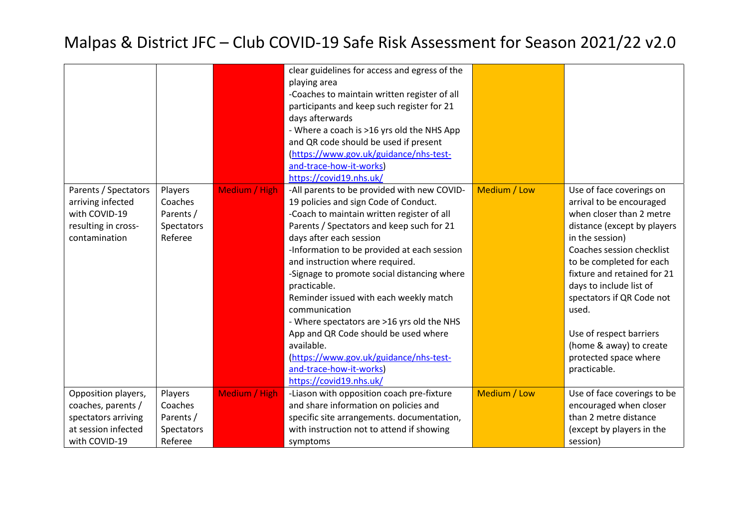|                      |            |               | clear guidelines for access and egress of the |              |                             |
|----------------------|------------|---------------|-----------------------------------------------|--------------|-----------------------------|
|                      |            |               | playing area                                  |              |                             |
|                      |            |               | -Coaches to maintain written register of all  |              |                             |
|                      |            |               | participants and keep such register for 21    |              |                             |
|                      |            |               | days afterwards                               |              |                             |
|                      |            |               | - Where a coach is >16 yrs old the NHS App    |              |                             |
|                      |            |               | and QR code should be used if present         |              |                             |
|                      |            |               | (https://www.gov.uk/guidance/nhs-test-        |              |                             |
|                      |            |               | and-trace-how-it-works)                       |              |                             |
|                      |            |               | https://covid19.nhs.uk/                       |              |                             |
| Parents / Spectators | Players    | Medium / High | -All parents to be provided with new COVID-   | Medium / Low | Use of face coverings on    |
| arriving infected    | Coaches    |               | 19 policies and sign Code of Conduct.         |              | arrival to be encouraged    |
| with COVID-19        | Parents /  |               | -Coach to maintain written register of all    |              | when closer than 2 metre    |
| resulting in cross-  | Spectators |               | Parents / Spectators and keep such for 21     |              | distance (except by players |
| contamination        | Referee    |               | days after each session                       |              | in the session)             |
|                      |            |               | -Information to be provided at each session   |              | Coaches session checklist   |
|                      |            |               | and instruction where required.               |              | to be completed for each    |
|                      |            |               | -Signage to promote social distancing where   |              | fixture and retained for 21 |
|                      |            |               | practicable.                                  |              | days to include list of     |
|                      |            |               | Reminder issued with each weekly match        |              | spectators if QR Code not   |
|                      |            |               | communication                                 |              | used.                       |
|                      |            |               | - Where spectators are >16 yrs old the NHS    |              |                             |
|                      |            |               | App and QR Code should be used where          |              | Use of respect barriers     |
|                      |            |               | available.                                    |              | (home & away) to create     |
|                      |            |               | (https://www.gov.uk/guidance/nhs-test-        |              | protected space where       |
|                      |            |               | and-trace-how-it-works)                       |              | practicable.                |
|                      |            |               | https://covid19.nhs.uk/                       |              |                             |
| Opposition players,  | Players    | Medium / High | -Liason with opposition coach pre-fixture     | Medium / Low | Use of face coverings to be |
| coaches, parents /   | Coaches    |               | and share information on policies and         |              | encouraged when closer      |
| spectators arriving  | Parents /  |               | specific site arrangements. documentation,    |              | than 2 metre distance       |
| at session infected  | Spectators |               | with instruction not to attend if showing     |              | (except by players in the   |
| with COVID-19        | Referee    |               | symptoms                                      |              | session)                    |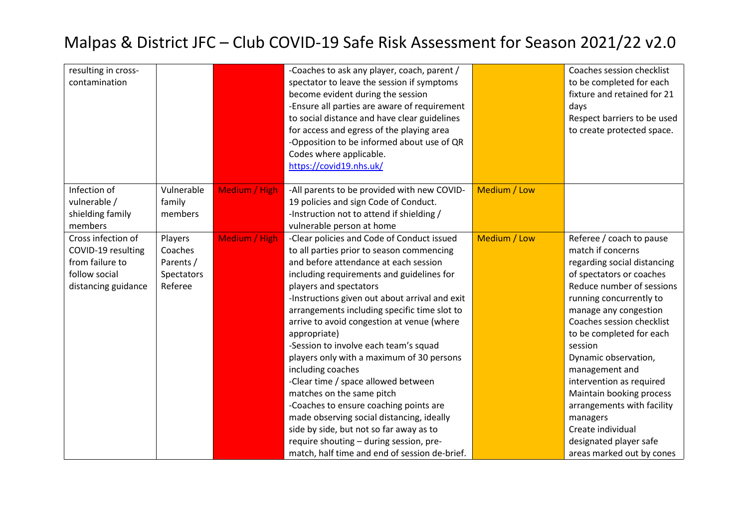| resulting in cross-<br>contamination                                                                |                                                          |               | -Coaches to ask any player, coach, parent /<br>spectator to leave the session if symptoms<br>become evident during the session<br>-Ensure all parties are aware of requirement<br>to social distance and have clear guidelines<br>for access and egress of the playing area<br>-Opposition to be informed about use of QR<br>Codes where applicable.<br>https://covid19.nhs.uk/                                                                                                                                                                                                                                                                                                                                                                                                      |              | Coaches session checklist<br>to be completed for each<br>fixture and retained for 21<br>days<br>Respect barriers to be used<br>to create protected space.                                                                                                                                                                                                                                                                                                                             |
|-----------------------------------------------------------------------------------------------------|----------------------------------------------------------|---------------|--------------------------------------------------------------------------------------------------------------------------------------------------------------------------------------------------------------------------------------------------------------------------------------------------------------------------------------------------------------------------------------------------------------------------------------------------------------------------------------------------------------------------------------------------------------------------------------------------------------------------------------------------------------------------------------------------------------------------------------------------------------------------------------|--------------|---------------------------------------------------------------------------------------------------------------------------------------------------------------------------------------------------------------------------------------------------------------------------------------------------------------------------------------------------------------------------------------------------------------------------------------------------------------------------------------|
| Infection of<br>vulnerable /<br>shielding family<br>members                                         | Vulnerable<br>family<br>members                          | Medium / High | -All parents to be provided with new COVID-<br>19 policies and sign Code of Conduct.<br>-Instruction not to attend if shielding /<br>vulnerable person at home                                                                                                                                                                                                                                                                                                                                                                                                                                                                                                                                                                                                                       | Medium / Low |                                                                                                                                                                                                                                                                                                                                                                                                                                                                                       |
| Cross infection of<br>COVID-19 resulting<br>from failure to<br>follow social<br>distancing guidance | Players<br>Coaches<br>Parents /<br>Spectators<br>Referee | Medium / High | -Clear policies and Code of Conduct issued<br>to all parties prior to season commencing<br>and before attendance at each session<br>including requirements and guidelines for<br>players and spectators<br>-Instructions given out about arrival and exit<br>arrangements including specific time slot to<br>arrive to avoid congestion at venue (where<br>appropriate)<br>-Session to involve each team's squad<br>players only with a maximum of 30 persons<br>including coaches<br>-Clear time / space allowed between<br>matches on the same pitch<br>-Coaches to ensure coaching points are<br>made observing social distancing, ideally<br>side by side, but not so far away as to<br>require shouting - during session, pre-<br>match, half time and end of session de-brief. | Medium / Low | Referee / coach to pause<br>match if concerns<br>regarding social distancing<br>of spectators or coaches<br>Reduce number of sessions<br>running concurrently to<br>manage any congestion<br>Coaches session checklist<br>to be completed for each<br>session<br>Dynamic observation,<br>management and<br>intervention as required<br>Maintain booking process<br>arrangements with facility<br>managers<br>Create individual<br>designated player safe<br>areas marked out by cones |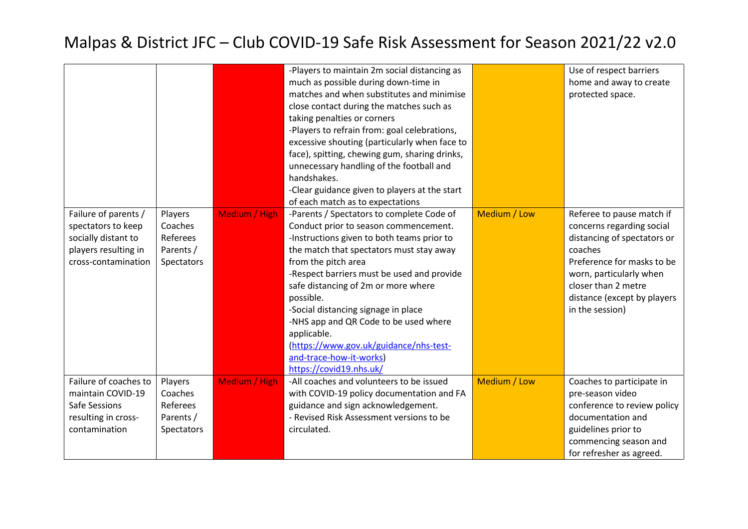| Failure of parents /                                                                                | Players                                                   | <b>Medium / High</b> | -Players to maintain 2m social distancing as<br>much as possible during down-time in<br>matches and when substitutes and minimise<br>close contact during the matches such as<br>taking penalties or corners<br>-Players to refrain from: goal celebrations,<br>excessive shouting (particularly when face to<br>face), spitting, chewing gum, sharing drinks,<br>unnecessary handling of the football and<br>handshakes.<br>-Clear guidance given to players at the start<br>of each match as to expectations<br>-Parents / Spectators to complete Code of | Medium / Low | Use of respect barriers<br>home and away to create<br>protected space.<br>Referee to pause match if                                                                                                   |
|-----------------------------------------------------------------------------------------------------|-----------------------------------------------------------|----------------------|-------------------------------------------------------------------------------------------------------------------------------------------------------------------------------------------------------------------------------------------------------------------------------------------------------------------------------------------------------------------------------------------------------------------------------------------------------------------------------------------------------------------------------------------------------------|--------------|-------------------------------------------------------------------------------------------------------------------------------------------------------------------------------------------------------|
| spectators to keep<br>socially distant to<br>players resulting in<br>cross-contamination            | Coaches<br>Referees<br>Parents /<br>Spectators            |                      | Conduct prior to season commencement.<br>-Instructions given to both teams prior to<br>the match that spectators must stay away<br>from the pitch area<br>-Respect barriers must be used and provide<br>safe distancing of 2m or more where<br>possible.<br>-Social distancing signage in place<br>-NHS app and QR Code to be used where<br>applicable.<br>(https://www.gov.uk/guidance/nhs-test-<br>and-trace-how-it-works)<br>https://covid19.nhs.uk/                                                                                                     |              | concerns regarding social<br>distancing of spectators or<br>coaches<br>Preference for masks to be<br>worn, particularly when<br>closer than 2 metre<br>distance (except by players<br>in the session) |
| Failure of coaches to<br>maintain COVID-19<br>Safe Sessions<br>resulting in cross-<br>contamination | Players<br>Coaches<br>Referees<br>Parents /<br>Spectators | Medium / High        | -All coaches and volunteers to be issued<br>with COVID-19 policy documentation and FA<br>guidance and sign acknowledgement.<br>- Revised Risk Assessment versions to be<br>circulated.                                                                                                                                                                                                                                                                                                                                                                      | Medium / Low | Coaches to participate in<br>pre-season video<br>conference to review policy<br>documentation and<br>guidelines prior to<br>commencing season and<br>for refresher as agreed.                         |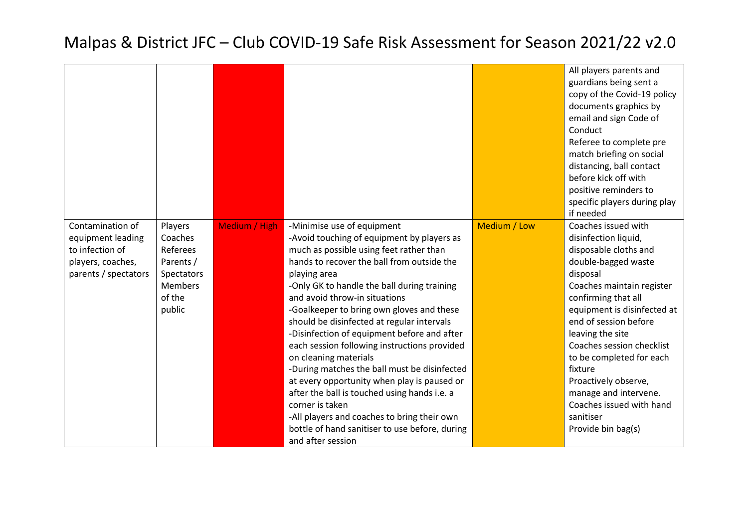|                                                                                                       |                                                                                          |               |                                                                                                                                                                                                                                                                                                                                                                                                                                                                                                                                                                                                                                                                                                                                                                              |              | All players parents and<br>guardians being sent a<br>copy of the Covid-19 policy<br>documents graphics by<br>email and sign Code of<br>Conduct<br>Referee to complete pre<br>match briefing on social<br>distancing, ball contact<br>before kick off with<br>positive reminders to<br>specific players during play<br>if needed                                                                                             |
|-------------------------------------------------------------------------------------------------------|------------------------------------------------------------------------------------------|---------------|------------------------------------------------------------------------------------------------------------------------------------------------------------------------------------------------------------------------------------------------------------------------------------------------------------------------------------------------------------------------------------------------------------------------------------------------------------------------------------------------------------------------------------------------------------------------------------------------------------------------------------------------------------------------------------------------------------------------------------------------------------------------------|--------------|-----------------------------------------------------------------------------------------------------------------------------------------------------------------------------------------------------------------------------------------------------------------------------------------------------------------------------------------------------------------------------------------------------------------------------|
| Contamination of<br>equipment leading<br>to infection of<br>players, coaches,<br>parents / spectators | Players<br>Coaches<br>Referees<br>Parents /<br>Spectators<br>Members<br>of the<br>public | Medium / High | -Minimise use of equipment<br>-Avoid touching of equipment by players as<br>much as possible using feet rather than<br>hands to recover the ball from outside the<br>playing area<br>-Only GK to handle the ball during training<br>and avoid throw-in situations<br>-Goalkeeper to bring own gloves and these<br>should be disinfected at regular intervals<br>-Disinfection of equipment before and after<br>each session following instructions provided<br>on cleaning materials<br>-During matches the ball must be disinfected<br>at every opportunity when play is paused or<br>after the ball is touched using hands i.e. a<br>corner is taken<br>-All players and coaches to bring their own<br>bottle of hand sanitiser to use before, during<br>and after session | Medium / Low | Coaches issued with<br>disinfection liquid,<br>disposable cloths and<br>double-bagged waste<br>disposal<br>Coaches maintain register<br>confirming that all<br>equipment is disinfected at<br>end of session before<br>leaving the site<br>Coaches session checklist<br>to be completed for each<br>fixture<br>Proactively observe,<br>manage and intervene.<br>Coaches issued with hand<br>sanitiser<br>Provide bin bag(s) |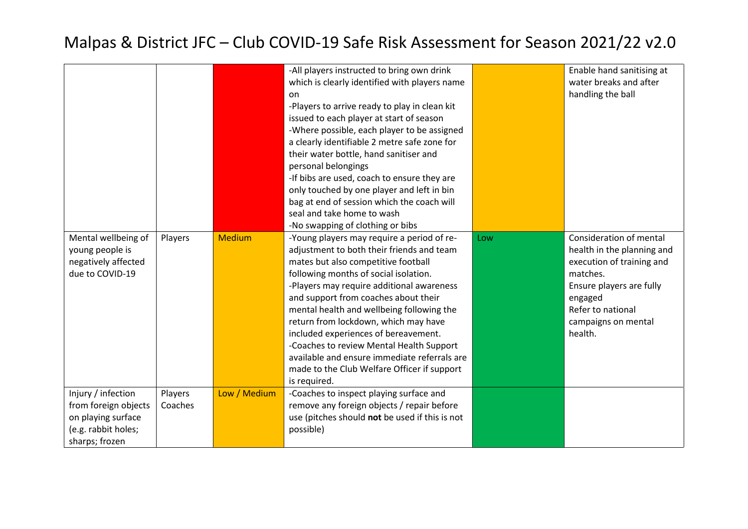|                      |         |               | -All players instructed to bring own drink     |     | Enable hand sanitising at  |
|----------------------|---------|---------------|------------------------------------------------|-----|----------------------------|
|                      |         |               | which is clearly identified with players name  |     | water breaks and after     |
|                      |         |               | on                                             |     | handling the ball          |
|                      |         |               | -Players to arrive ready to play in clean kit  |     |                            |
|                      |         |               | issued to each player at start of season       |     |                            |
|                      |         |               | -Where possible, each player to be assigned    |     |                            |
|                      |         |               | a clearly identifiable 2 metre safe zone for   |     |                            |
|                      |         |               | their water bottle, hand sanitiser and         |     |                            |
|                      |         |               | personal belongings                            |     |                            |
|                      |         |               | -If bibs are used, coach to ensure they are    |     |                            |
|                      |         |               | only touched by one player and left in bin     |     |                            |
|                      |         |               | bag at end of session which the coach will     |     |                            |
|                      |         |               | seal and take home to wash                     |     |                            |
|                      |         |               | -No swapping of clothing or bibs               |     |                            |
|                      |         | <b>Medium</b> |                                                |     | Consideration of mental    |
| Mental wellbeing of  | Players |               | -Young players may require a period of re-     | Low |                            |
| young people is      |         |               | adjustment to both their friends and team      |     | health in the planning and |
| negatively affected  |         |               | mates but also competitive football            |     | execution of training and  |
| due to COVID-19      |         |               | following months of social isolation.          |     | matches.                   |
|                      |         |               | -Players may require additional awareness      |     | Ensure players are fully   |
|                      |         |               | and support from coaches about their           |     | engaged                    |
|                      |         |               | mental health and wellbeing following the      |     | Refer to national          |
|                      |         |               | return from lockdown, which may have           |     | campaigns on mental        |
|                      |         |               | included experiences of bereavement.           |     | health.                    |
|                      |         |               | -Coaches to review Mental Health Support       |     |                            |
|                      |         |               | available and ensure immediate referrals are   |     |                            |
|                      |         |               | made to the Club Welfare Officer if support    |     |                            |
|                      |         |               | is required.                                   |     |                            |
| Injury / infection   | Players | Low / Medium  | -Coaches to inspect playing surface and        |     |                            |
| from foreign objects | Coaches |               | remove any foreign objects / repair before     |     |                            |
| on playing surface   |         |               | use (pitches should not be used if this is not |     |                            |
| (e.g. rabbit holes;  |         |               | possible)                                      |     |                            |
| sharps; frozen       |         |               |                                                |     |                            |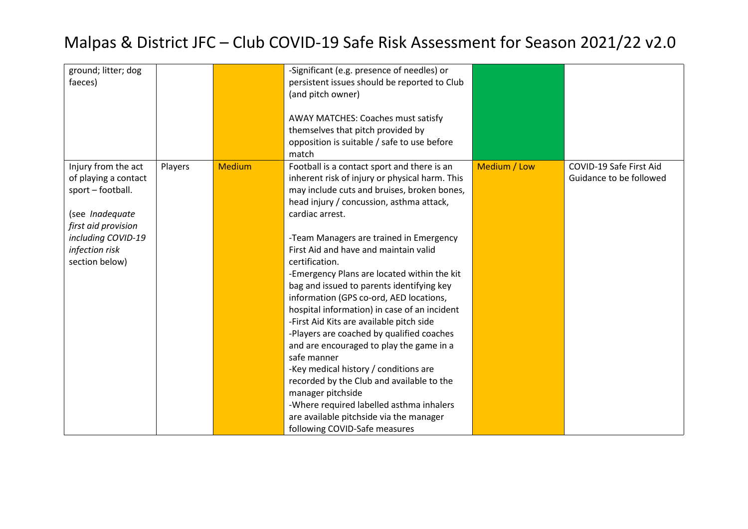| ground; litter; dog<br>faeces)                                                                                                                                       |         |               | -Significant (e.g. presence of needles) or<br>persistent issues should be reported to Club<br>(and pitch owner)                                                                                                                                                                                                                                                                                                                                                                                                                                                                                                                                                                                                                                                                                                                                                                                 |              |                                                    |
|----------------------------------------------------------------------------------------------------------------------------------------------------------------------|---------|---------------|-------------------------------------------------------------------------------------------------------------------------------------------------------------------------------------------------------------------------------------------------------------------------------------------------------------------------------------------------------------------------------------------------------------------------------------------------------------------------------------------------------------------------------------------------------------------------------------------------------------------------------------------------------------------------------------------------------------------------------------------------------------------------------------------------------------------------------------------------------------------------------------------------|--------------|----------------------------------------------------|
|                                                                                                                                                                      |         |               | AWAY MATCHES: Coaches must satisfy<br>themselves that pitch provided by<br>opposition is suitable / safe to use before<br>match                                                                                                                                                                                                                                                                                                                                                                                                                                                                                                                                                                                                                                                                                                                                                                 |              |                                                    |
| Injury from the act<br>of playing a contact<br>sport - football.<br>(see Inadequate<br>first aid provision<br>including COVID-19<br>infection risk<br>section below) | Players | <b>Medium</b> | Football is a contact sport and there is an<br>inherent risk of injury or physical harm. This<br>may include cuts and bruises, broken bones,<br>head injury / concussion, asthma attack,<br>cardiac arrest.<br>-Team Managers are trained in Emergency<br>First Aid and have and maintain valid<br>certification.<br>-Emergency Plans are located within the kit<br>bag and issued to parents identifying key<br>information (GPS co-ord, AED locations,<br>hospital information) in case of an incident<br>-First Aid Kits are available pitch side<br>-Players are coached by qualified coaches<br>and are encouraged to play the game in a<br>safe manner<br>-Key medical history / conditions are<br>recorded by the Club and available to the<br>manager pitchside<br>-Where required labelled asthma inhalers<br>are available pitchside via the manager<br>following COVID-Safe measures | Medium / Low | COVID-19 Safe First Aid<br>Guidance to be followed |
|                                                                                                                                                                      |         |               |                                                                                                                                                                                                                                                                                                                                                                                                                                                                                                                                                                                                                                                                                                                                                                                                                                                                                                 |              |                                                    |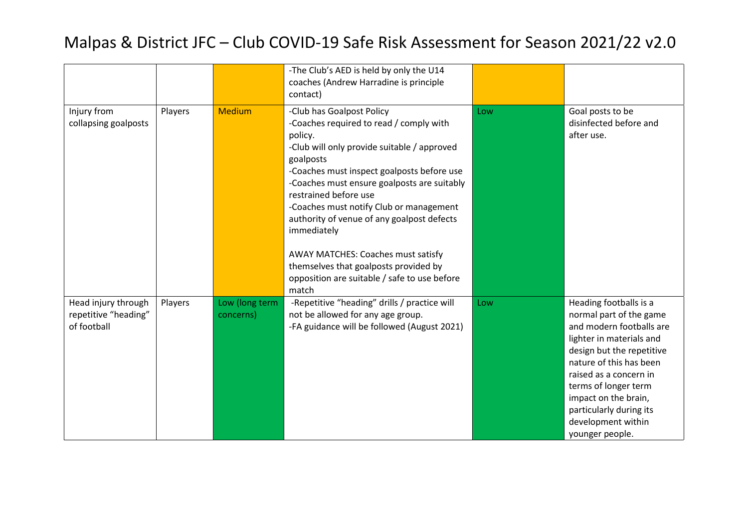|                                                            |         |                             | -The Club's AED is held by only the U14<br>coaches (Andrew Harradine is principle<br>contact)                                                                                                                                                                                                                                                                                                                                                                                                                     |     |                                                                                                                                                                                                                                                                                                                 |
|------------------------------------------------------------|---------|-----------------------------|-------------------------------------------------------------------------------------------------------------------------------------------------------------------------------------------------------------------------------------------------------------------------------------------------------------------------------------------------------------------------------------------------------------------------------------------------------------------------------------------------------------------|-----|-----------------------------------------------------------------------------------------------------------------------------------------------------------------------------------------------------------------------------------------------------------------------------------------------------------------|
| Injury from<br>collapsing goalposts                        | Players | <b>Medium</b>               | -Club has Goalpost Policy<br>-Coaches required to read / comply with<br>policy.<br>-Club will only provide suitable / approved<br>goalposts<br>-Coaches must inspect goalposts before use<br>-Coaches must ensure goalposts are suitably<br>restrained before use<br>-Coaches must notify Club or management<br>authority of venue of any goalpost defects<br>immediately<br>AWAY MATCHES: Coaches must satisfy<br>themselves that goalposts provided by<br>opposition are suitable / safe to use before<br>match | Low | Goal posts to be<br>disinfected before and<br>after use.                                                                                                                                                                                                                                                        |
| Head injury through<br>repetitive "heading"<br>of football | Players | Low (long term<br>concerns) | -Repetitive "heading" drills / practice will<br>not be allowed for any age group.<br>-FA guidance will be followed (August 2021)                                                                                                                                                                                                                                                                                                                                                                                  | Low | Heading footballs is a<br>normal part of the game<br>and modern footballs are<br>lighter in materials and<br>design but the repetitive<br>nature of this has been<br>raised as a concern in<br>terms of longer term<br>impact on the brain,<br>particularly during its<br>development within<br>younger people. |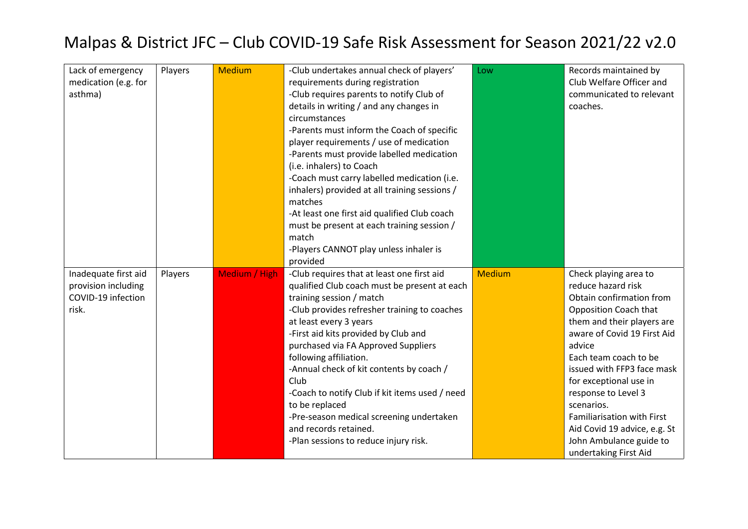| Lack of emergency    | Players | <b>Medium</b> | -Club undertakes annual check of players'      | Low           | Records maintained by        |
|----------------------|---------|---------------|------------------------------------------------|---------------|------------------------------|
|                      |         |               |                                                |               | Club Welfare Officer and     |
| medication (e.g. for |         |               | requirements during registration               |               |                              |
| asthma)              |         |               | -Club requires parents to notify Club of       |               | communicated to relevant     |
|                      |         |               | details in writing / and any changes in        |               | coaches.                     |
|                      |         |               | circumstances                                  |               |                              |
|                      |         |               | -Parents must inform the Coach of specific     |               |                              |
|                      |         |               | player requirements / use of medication        |               |                              |
|                      |         |               | -Parents must provide labelled medication      |               |                              |
|                      |         |               | (i.e. inhalers) to Coach                       |               |                              |
|                      |         |               | -Coach must carry labelled medication (i.e.    |               |                              |
|                      |         |               | inhalers) provided at all training sessions /  |               |                              |
|                      |         |               | matches                                        |               |                              |
|                      |         |               | -At least one first aid qualified Club coach   |               |                              |
|                      |         |               | must be present at each training session /     |               |                              |
|                      |         |               | match                                          |               |                              |
|                      |         |               | -Players CANNOT play unless inhaler is         |               |                              |
|                      |         |               | provided                                       |               |                              |
| Inadequate first aid | Players | Medium / High | -Club requires that at least one first aid     | <b>Medium</b> | Check playing area to        |
| provision including  |         |               | qualified Club coach must be present at each   |               | reduce hazard risk           |
| COVID-19 infection   |         |               | training session / match                       |               | Obtain confirmation from     |
| risk.                |         |               | -Club provides refresher training to coaches   |               | Opposition Coach that        |
|                      |         |               | at least every 3 years                         |               | them and their players are   |
|                      |         |               | -First aid kits provided by Club and           |               | aware of Covid 19 First Aid  |
|                      |         |               | purchased via FA Approved Suppliers            |               | advice                       |
|                      |         |               | following affiliation.                         |               | Each team coach to be        |
|                      |         |               | -Annual check of kit contents by coach /       |               | issued with FFP3 face mask   |
|                      |         |               | Club                                           |               | for exceptional use in       |
|                      |         |               | -Coach to notify Club if kit items used / need |               | response to Level 3          |
|                      |         |               | to be replaced                                 |               | scenarios.                   |
|                      |         |               | -Pre-season medical screening undertaken       |               | Familiarisation with First   |
|                      |         |               | and records retained.                          |               | Aid Covid 19 advice, e.g. St |
|                      |         |               | -Plan sessions to reduce injury risk.          |               | John Ambulance guide to      |
|                      |         |               |                                                |               | undertaking First Aid        |
|                      |         |               |                                                |               |                              |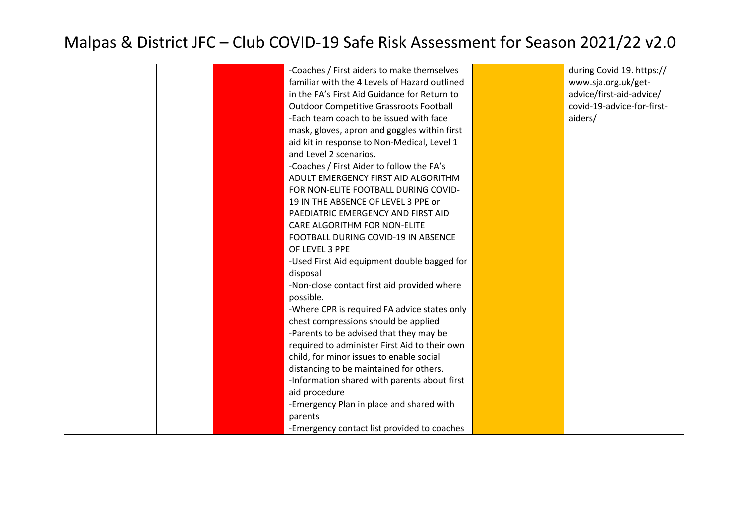|  | -Coaches / First aiders to make themselves     | during Covid 19. https://  |
|--|------------------------------------------------|----------------------------|
|  | familiar with the 4 Levels of Hazard outlined  | www.sja.org.uk/get-        |
|  | in the FA's First Aid Guidance for Return to   | advice/first-aid-advice/   |
|  | <b>Outdoor Competitive Grassroots Football</b> | covid-19-advice-for-first- |
|  | -Each team coach to be issued with face        | aiders/                    |
|  | mask, gloves, apron and goggles within first   |                            |
|  | aid kit in response to Non-Medical, Level 1    |                            |
|  | and Level 2 scenarios.                         |                            |
|  | -Coaches / First Aider to follow the FA's      |                            |
|  | ADULT EMERGENCY FIRST AID ALGORITHM            |                            |
|  | FOR NON-ELITE FOOTBALL DURING COVID-           |                            |
|  | 19 IN THE ABSENCE OF LEVEL 3 PPE or            |                            |
|  | PAEDIATRIC EMERGENCY AND FIRST AID             |                            |
|  | CARE ALGORITHM FOR NON-ELITE                   |                            |
|  | FOOTBALL DURING COVID-19 IN ABSENCE            |                            |
|  | OF LEVEL 3 PPE                                 |                            |
|  | -Used First Aid equipment double bagged for    |                            |
|  | disposal                                       |                            |
|  | -Non-close contact first aid provided where    |                            |
|  | possible.                                      |                            |
|  | -Where CPR is required FA advice states only   |                            |
|  | chest compressions should be applied           |                            |
|  | -Parents to be advised that they may be        |                            |
|  | required to administer First Aid to their own  |                            |
|  | child, for minor issues to enable social       |                            |
|  | distancing to be maintained for others.        |                            |
|  | -Information shared with parents about first   |                            |
|  | aid procedure                                  |                            |
|  | -Emergency Plan in place and shared with       |                            |
|  | parents                                        |                            |
|  | -Emergency contact list provided to coaches    |                            |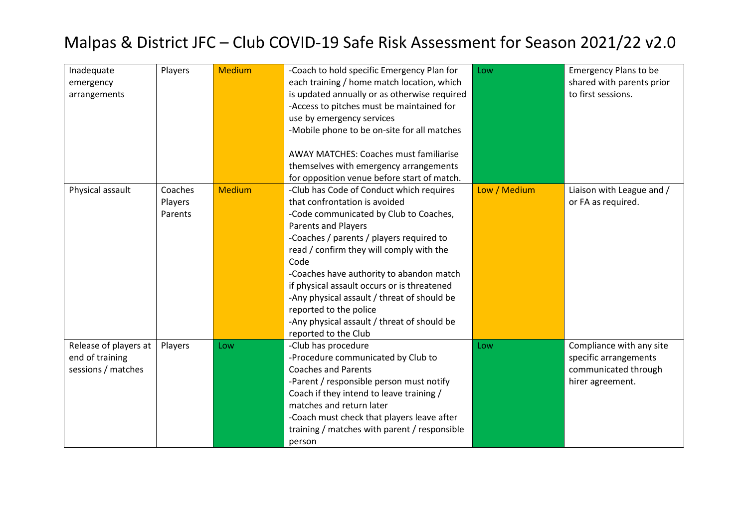| Inadequate<br>emergency<br>arrangements                        | Players                       | <b>Medium</b> | -Coach to hold specific Emergency Plan for<br>each training / home match location, which<br>is updated annually or as otherwise required<br>-Access to pitches must be maintained for<br>use by emergency services<br>-Mobile phone to be on-site for all matches<br><b>AWAY MATCHES: Coaches must familiarise</b><br>themselves with emergency arrangements<br>for opposition venue before start of match.                                                                                  | Low          | <b>Emergency Plans to be</b><br>shared with parents prior<br>to first sessions.               |
|----------------------------------------------------------------|-------------------------------|---------------|----------------------------------------------------------------------------------------------------------------------------------------------------------------------------------------------------------------------------------------------------------------------------------------------------------------------------------------------------------------------------------------------------------------------------------------------------------------------------------------------|--------------|-----------------------------------------------------------------------------------------------|
| Physical assault                                               | Coaches<br>Players<br>Parents | <b>Medium</b> | -Club has Code of Conduct which requires<br>that confrontation is avoided<br>-Code communicated by Club to Coaches,<br><b>Parents and Players</b><br>-Coaches / parents / players required to<br>read / confirm they will comply with the<br>Code<br>-Coaches have authority to abandon match<br>if physical assault occurs or is threatened<br>-Any physical assault / threat of should be<br>reported to the police<br>-Any physical assault / threat of should be<br>reported to the Club | Low / Medium | Liaison with League and /<br>or FA as required.                                               |
| Release of players at<br>end of training<br>sessions / matches | Players                       | Low           | -Club has procedure<br>-Procedure communicated by Club to<br><b>Coaches and Parents</b><br>-Parent / responsible person must notify<br>Coach if they intend to leave training /<br>matches and return later<br>-Coach must check that players leave after<br>training / matches with parent / responsible<br>person                                                                                                                                                                          | Low          | Compliance with any site<br>specific arrangements<br>communicated through<br>hirer agreement. |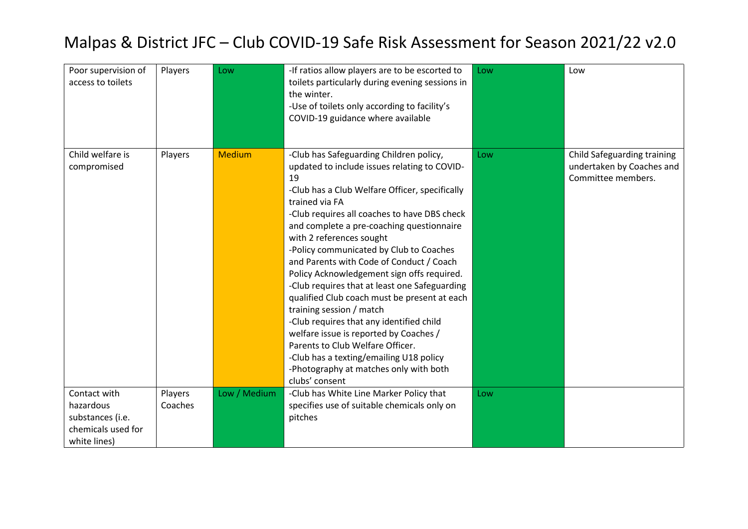| Poor supervision of<br>access to toilets                                            | Players            | Low           | -If ratios allow players are to be escorted to<br>toilets particularly during evening sessions in<br>the winter.<br>-Use of toilets only according to facility's<br>COVID-19 guidance where available                                                                                                                                                                                                                                                                                                                                                                                                                                                                                                                                                                                         | Low | Low                                                                            |
|-------------------------------------------------------------------------------------|--------------------|---------------|-----------------------------------------------------------------------------------------------------------------------------------------------------------------------------------------------------------------------------------------------------------------------------------------------------------------------------------------------------------------------------------------------------------------------------------------------------------------------------------------------------------------------------------------------------------------------------------------------------------------------------------------------------------------------------------------------------------------------------------------------------------------------------------------------|-----|--------------------------------------------------------------------------------|
| Child welfare is<br>compromised                                                     | Players            | <b>Medium</b> | -Club has Safeguarding Children policy,<br>updated to include issues relating to COVID-<br>19<br>-Club has a Club Welfare Officer, specifically<br>trained via FA<br>-Club requires all coaches to have DBS check<br>and complete a pre-coaching questionnaire<br>with 2 references sought<br>-Policy communicated by Club to Coaches<br>and Parents with Code of Conduct / Coach<br>Policy Acknowledgement sign offs required.<br>-Club requires that at least one Safeguarding<br>qualified Club coach must be present at each<br>training session / match<br>-Club requires that any identified child<br>welfare issue is reported by Coaches /<br>Parents to Club Welfare Officer.<br>-Club has a texting/emailing U18 policy<br>-Photography at matches only with both<br>clubs' consent | Low | Child Safeguarding training<br>undertaken by Coaches and<br>Committee members. |
| Contact with<br>hazardous<br>substances (i.e.<br>chemicals used for<br>white lines) | Players<br>Coaches | Low / Medium  | -Club has White Line Marker Policy that<br>specifies use of suitable chemicals only on<br>pitches                                                                                                                                                                                                                                                                                                                                                                                                                                                                                                                                                                                                                                                                                             | Low |                                                                                |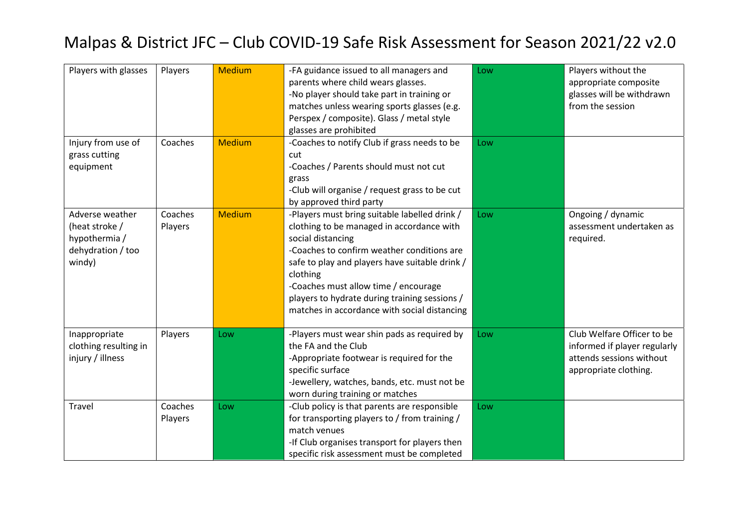| Players with glasses                                                              | Players            | <b>Medium</b> | -FA guidance issued to all managers and<br>parents where child wears glasses.<br>-No player should take part in training or<br>matches unless wearing sports glasses (e.g.<br>Perspex / composite). Glass / metal style<br>glasses are prohibited                                                                                                                    | Low | Players without the<br>appropriate composite<br>glasses will be withdrawn<br>from the session                   |
|-----------------------------------------------------------------------------------|--------------------|---------------|----------------------------------------------------------------------------------------------------------------------------------------------------------------------------------------------------------------------------------------------------------------------------------------------------------------------------------------------------------------------|-----|-----------------------------------------------------------------------------------------------------------------|
| Injury from use of<br>grass cutting<br>equipment                                  | Coaches            | <b>Medium</b> | -Coaches to notify Club if grass needs to be<br>cut<br>-Coaches / Parents should must not cut<br>grass<br>-Club will organise / request grass to be cut<br>by approved third party                                                                                                                                                                                   | Low |                                                                                                                 |
| Adverse weather<br>(heat stroke /<br>hypothermia /<br>dehydration / too<br>windy) | Coaches<br>Players | <b>Medium</b> | -Players must bring suitable labelled drink /<br>clothing to be managed in accordance with<br>social distancing<br>-Coaches to confirm weather conditions are<br>safe to play and players have suitable drink /<br>clothing<br>-Coaches must allow time / encourage<br>players to hydrate during training sessions /<br>matches in accordance with social distancing | Low | Ongoing / dynamic<br>assessment undertaken as<br>required.                                                      |
| Inappropriate<br>clothing resulting in<br>injury / illness                        | Players            | Low           | -Players must wear shin pads as required by<br>the FA and the Club<br>-Appropriate footwear is required for the<br>specific surface<br>-Jewellery, watches, bands, etc. must not be<br>worn during training or matches                                                                                                                                               | Low | Club Welfare Officer to be<br>informed if player regularly<br>attends sessions without<br>appropriate clothing. |
| <b>Travel</b>                                                                     | Coaches<br>Players | Low           | -Club policy is that parents are responsible<br>for transporting players to / from training /<br>match venues<br>-If Club organises transport for players then<br>specific risk assessment must be completed                                                                                                                                                         | Low |                                                                                                                 |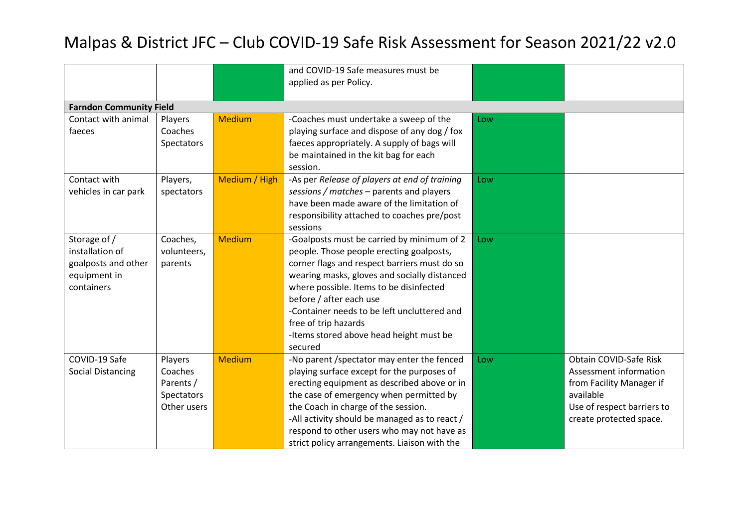|                                |                   |               | and COVID-19 Safe measures must be            |     |                            |  |  |
|--------------------------------|-------------------|---------------|-----------------------------------------------|-----|----------------------------|--|--|
|                                |                   |               | applied as per Policy.                        |     |                            |  |  |
|                                |                   |               |                                               |     |                            |  |  |
| <b>Farndon Community Field</b> |                   |               |                                               |     |                            |  |  |
| Contact with animal            | Players           | <b>Medium</b> | -Coaches must undertake a sweep of the        | Low |                            |  |  |
| faeces                         | Coaches           |               | playing surface and dispose of any dog / fox  |     |                            |  |  |
|                                | Spectators        |               | faeces appropriately. A supply of bags will   |     |                            |  |  |
|                                |                   |               | be maintained in the kit bag for each         |     |                            |  |  |
|                                |                   |               | session.                                      |     |                            |  |  |
| Contact with                   | Players,          | Medium / High | -As per Release of players at end of training | Low |                            |  |  |
| vehicles in car park           | spectators        |               | sessions / matches - parents and players      |     |                            |  |  |
|                                |                   |               | have been made aware of the limitation of     |     |                            |  |  |
|                                |                   |               | responsibility attached to coaches pre/post   |     |                            |  |  |
|                                |                   |               | sessions                                      |     |                            |  |  |
| Storage of /                   | Coaches,          | <b>Medium</b> | -Goalposts must be carried by minimum of 2    | Low |                            |  |  |
| installation of                | volunteers,       |               | people. Those people erecting goalposts,      |     |                            |  |  |
| goalposts and other            | parents           |               | corner flags and respect barriers must do so  |     |                            |  |  |
| equipment in                   |                   |               | wearing masks, gloves and socially distanced  |     |                            |  |  |
| containers                     |                   |               | where possible. Items to be disinfected       |     |                            |  |  |
|                                |                   |               | before / after each use                       |     |                            |  |  |
|                                |                   |               | -Container needs to be left uncluttered and   |     |                            |  |  |
|                                |                   |               | free of trip hazards                          |     |                            |  |  |
|                                |                   |               | -Items stored above head height must be       |     |                            |  |  |
|                                |                   |               | secured                                       |     |                            |  |  |
| COVID-19 Safe                  | Players           | <b>Medium</b> | -No parent /spectator may enter the fenced    | Low | Obtain COVID-Safe Risk     |  |  |
| <b>Social Distancing</b>       | Coaches           |               | playing surface except for the purposes of    |     | Assessment information     |  |  |
|                                | Parents /         |               | erecting equipment as described above or in   |     | from Facility Manager if   |  |  |
|                                | <b>Spectators</b> |               | the case of emergency when permitted by       |     | available                  |  |  |
|                                | Other users       |               | the Coach in charge of the session.           |     | Use of respect barriers to |  |  |
|                                |                   |               | -All activity should be managed as to react / |     | create protected space.    |  |  |
|                                |                   |               | respond to other users who may not have as    |     |                            |  |  |
|                                |                   |               | strict policy arrangements. Liaison with the  |     |                            |  |  |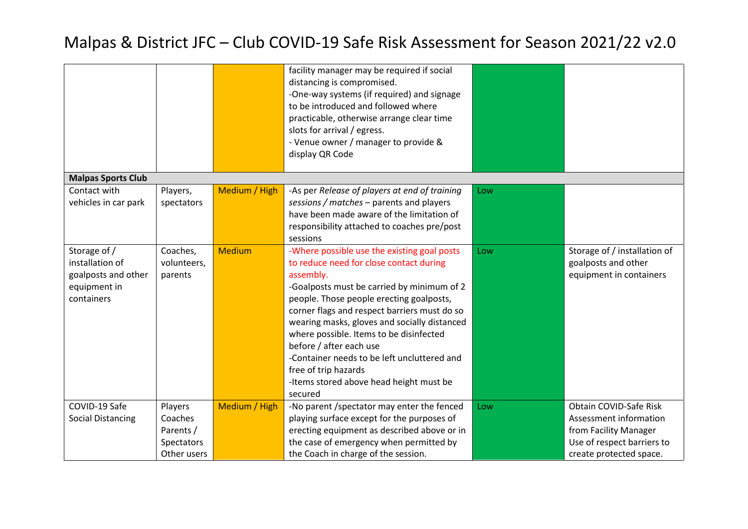|                           |             |               | facility manager may be required if social    |     |                              |
|---------------------------|-------------|---------------|-----------------------------------------------|-----|------------------------------|
|                           |             |               | distancing is compromised.                    |     |                              |
|                           |             |               | -One-way systems (if required) and signage    |     |                              |
|                           |             |               | to be introduced and followed where           |     |                              |
|                           |             |               | practicable, otherwise arrange clear time     |     |                              |
|                           |             |               | slots for arrival / egress.                   |     |                              |
|                           |             |               | - Venue owner / manager to provide &          |     |                              |
|                           |             |               | display QR Code                               |     |                              |
|                           |             |               |                                               |     |                              |
| <b>Malpas Sports Club</b> |             |               |                                               |     |                              |
| Contact with              | Players,    | Medium / High | -As per Release of players at end of training | Low |                              |
| vehicles in car park      | spectators  |               | sessions / matches - parents and players      |     |                              |
|                           |             |               | have been made aware of the limitation of     |     |                              |
|                           |             |               | responsibility attached to coaches pre/post   |     |                              |
|                           |             |               | sessions                                      |     |                              |
| Storage of /              | Coaches,    | <b>Medium</b> | -Where possible use the existing goal posts   | Low | Storage of / installation of |
| installation of           | volunteers, |               | to reduce need for close contact during       |     | goalposts and other          |
| goalposts and other       | parents     |               | assembly.                                     |     | equipment in containers      |
| equipment in              |             |               | -Goalposts must be carried by minimum of 2    |     |                              |
| containers                |             |               | people. Those people erecting goalposts,      |     |                              |
|                           |             |               | corner flags and respect barriers must do so  |     |                              |
|                           |             |               | wearing masks, gloves and socially distanced  |     |                              |
|                           |             |               | where possible. Items to be disinfected       |     |                              |
|                           |             |               | before / after each use                       |     |                              |
|                           |             |               | -Container needs to be left uncluttered and   |     |                              |
|                           |             |               | free of trip hazards                          |     |                              |
|                           |             |               |                                               |     |                              |
|                           |             |               | -Items stored above head height must be       |     |                              |
| COVID-19 Safe             |             |               | secured                                       |     |                              |
|                           | Players     | Medium / High | -No parent /spectator may enter the fenced    | Low | Obtain COVID-Safe Risk       |
| <b>Social Distancing</b>  | Coaches     |               | playing surface except for the purposes of    |     | Assessment information       |
|                           | Parents /   |               | erecting equipment as described above or in   |     | from Facility Manager        |
|                           | Spectators  |               | the case of emergency when permitted by       |     | Use of respect barriers to   |
|                           | Other users |               | the Coach in charge of the session.           |     | create protected space.      |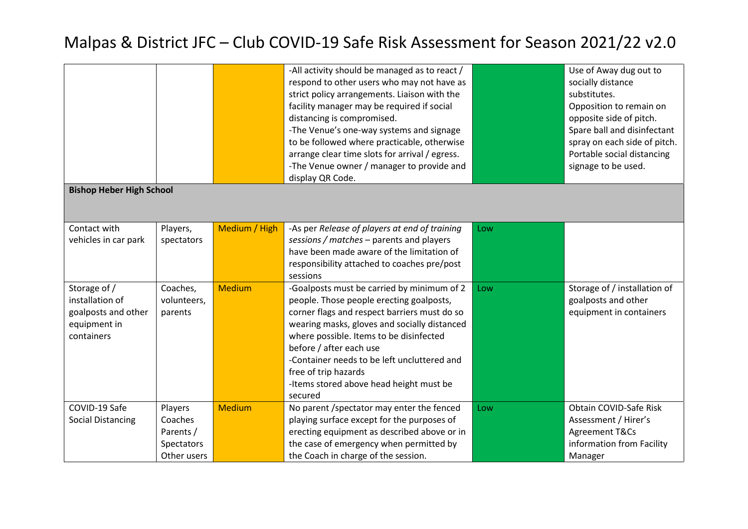|                                                                                      |                                                              |               | -All activity should be managed as to react /<br>respond to other users who may not have as<br>strict policy arrangements. Liaison with the<br>facility manager may be required if social<br>distancing is compromised.<br>-The Venue's one-way systems and signage<br>to be followed where practicable, otherwise                                                                        |     | Use of Away dug out to<br>socially distance<br>substitutes.<br>Opposition to remain on<br>opposite side of pitch.<br>Spare ball and disinfectant<br>spray on each side of pitch. |  |  |  |
|--------------------------------------------------------------------------------------|--------------------------------------------------------------|---------------|-------------------------------------------------------------------------------------------------------------------------------------------------------------------------------------------------------------------------------------------------------------------------------------------------------------------------------------------------------------------------------------------|-----|----------------------------------------------------------------------------------------------------------------------------------------------------------------------------------|--|--|--|
|                                                                                      |                                                              |               | arrange clear time slots for arrival / egress.<br>-The Venue owner / manager to provide and                                                                                                                                                                                                                                                                                               |     | Portable social distancing<br>signage to be used.                                                                                                                                |  |  |  |
|                                                                                      | display QR Code.<br><b>Bishop Heber High School</b>          |               |                                                                                                                                                                                                                                                                                                                                                                                           |     |                                                                                                                                                                                  |  |  |  |
| Contact with<br>vehicles in car park                                                 | Players,<br>spectators                                       | Medium / High | -As per Release of players at end of training<br>sessions / matches - parents and players<br>have been made aware of the limitation of<br>responsibility attached to coaches pre/post<br>sessions                                                                                                                                                                                         | Low |                                                                                                                                                                                  |  |  |  |
| Storage of /<br>installation of<br>goalposts and other<br>equipment in<br>containers | Coaches,<br>volunteers,<br>parents                           | <b>Medium</b> | -Goalposts must be carried by minimum of 2<br>people. Those people erecting goalposts,<br>corner flags and respect barriers must do so<br>wearing masks, gloves and socially distanced<br>where possible. Items to be disinfected<br>before / after each use<br>-Container needs to be left uncluttered and<br>free of trip hazards<br>-Items stored above head height must be<br>secured | Low | Storage of / installation of<br>goalposts and other<br>equipment in containers                                                                                                   |  |  |  |
| COVID-19 Safe<br><b>Social Distancing</b>                                            | Players<br>Coaches<br>Parents /<br>Spectators<br>Other users | <b>Medium</b> | No parent /spectator may enter the fenced<br>playing surface except for the purposes of<br>erecting equipment as described above or in<br>the case of emergency when permitted by<br>the Coach in charge of the session.                                                                                                                                                                  | Low | Obtain COVID-Safe Risk<br>Assessment / Hirer's<br>Agreement T&Cs<br>information from Facility<br>Manager                                                                         |  |  |  |